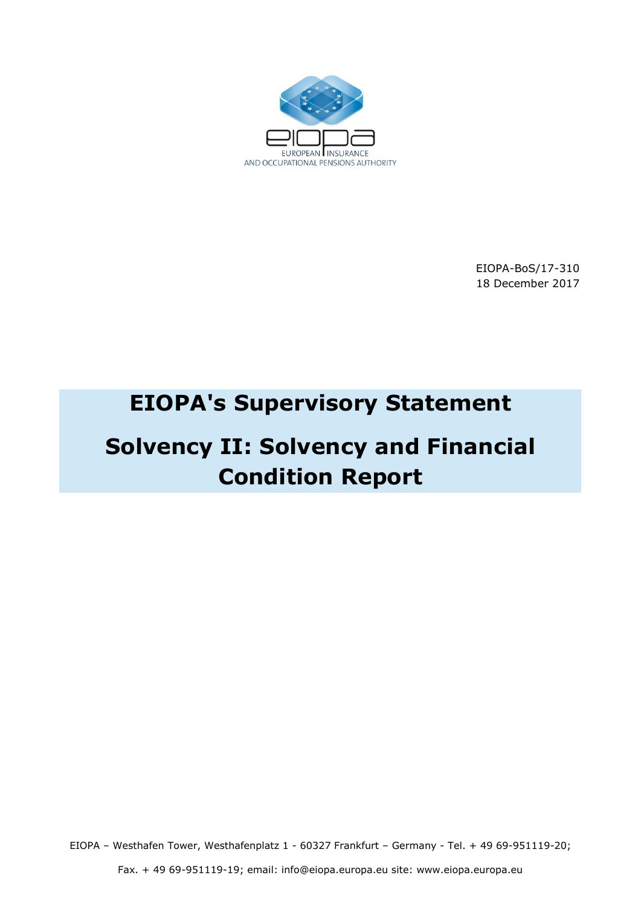

EIOPA-BoS/17-310 18 December 2017

## **EIOPA's Supervisory Statement**

# **Solvency II: Solvency and Financial Condition Report**

EIOPA – Westhafen Tower, Westhafenplatz 1 - 60327 Frankfurt – Germany - Tel. + 49 69-951119-20;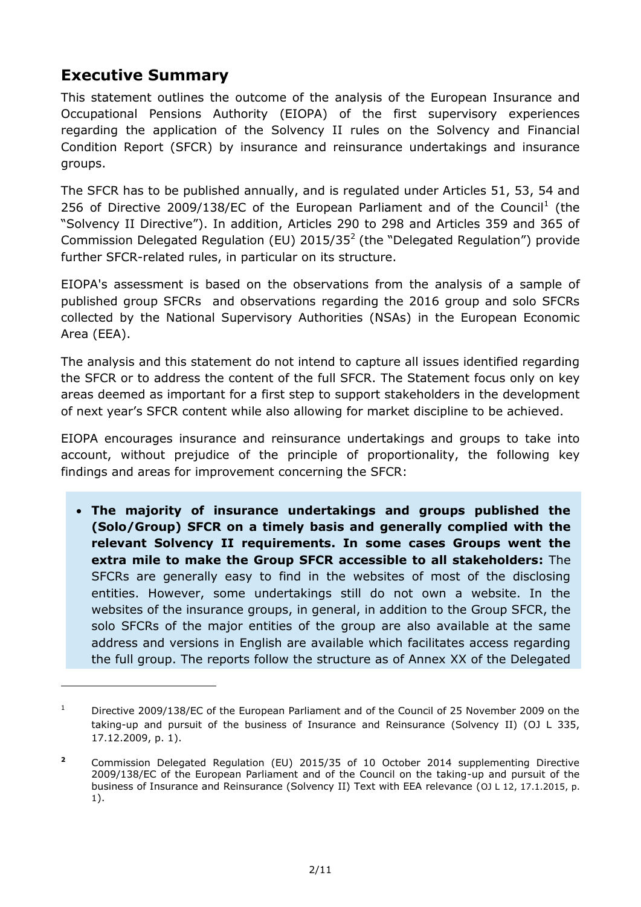## **Executive Summary**

-

This statement outlines the outcome of the analysis of the European Insurance and Occupational Pensions Authority (EIOPA) of the first supervisory experiences regarding the application of the Solvency II rules on the Solvency and Financial Condition Report (SFCR) by insurance and reinsurance undertakings and insurance groups.

The SFCR has to be published annually, and is regulated under Articles 51, 53, 54 and 256 of Directive 2009/138/EC of the European Parliament and of the Council<sup>1</sup> (the "Solvency II Directive"). In addition, Articles 290 to 298 and Articles 359 and 365 of Commission Delegated Regulation (EU)  $2015/35<sup>2</sup>$  (the "Delegated Regulation") provide further SFCR-related rules, in particular on its structure.

EIOPA's assessment is based on the observations from the analysis of a sample of published group SFCRs and observations regarding the 2016 group and solo SFCRs collected by the National Supervisory Authorities (NSAs) in the European Economic Area (EEA).

The analysis and this statement do not intend to capture all issues identified regarding the SFCR or to address the content of the full SFCR. The Statement focus only on key areas deemed as important for a first step to support stakeholders in the development of next year's SFCR content while also allowing for market discipline to be achieved.

EIOPA encourages insurance and reinsurance undertakings and groups to take into account, without prejudice of the principle of proportionality, the following key findings and areas for improvement concerning the SFCR:

 **The majority of insurance undertakings and groups published the (Solo/Group) SFCR on a timely basis and generally complied with the relevant Solvency II requirements. In some cases Groups went the extra mile to make the Group SFCR accessible to all stakeholders:** The SFCRs are generally easy to find in the websites of most of the disclosing entities. However, some undertakings still do not own a website. In the websites of the insurance groups, in general, in addition to the Group SFCR, the solo SFCRs of the major entities of the group are also available at the same address and versions in English are available which facilitates access regarding the full group. The reports follow the structure as of Annex XX of the Delegated

<sup>&</sup>lt;sup>1</sup> Directive 2009/138/EC of the European Parliament and of the Council of 25 November 2009 on the taking-up and pursuit of the business of Insurance and Reinsurance (Solvency II) (OJ L 335, 17.12.2009, p. 1).

**<sup>2</sup>** Commission Delegated Regulation (EU) 2015/35 of 10 October 2014 supplementing Directive 2009/138/EC of the European Parliament and of the Council on the taking-up and pursuit of the business of Insurance and Reinsurance (Solvency II) Text with EEA relevance (OJ L 12, 17.1.2015, p. 1).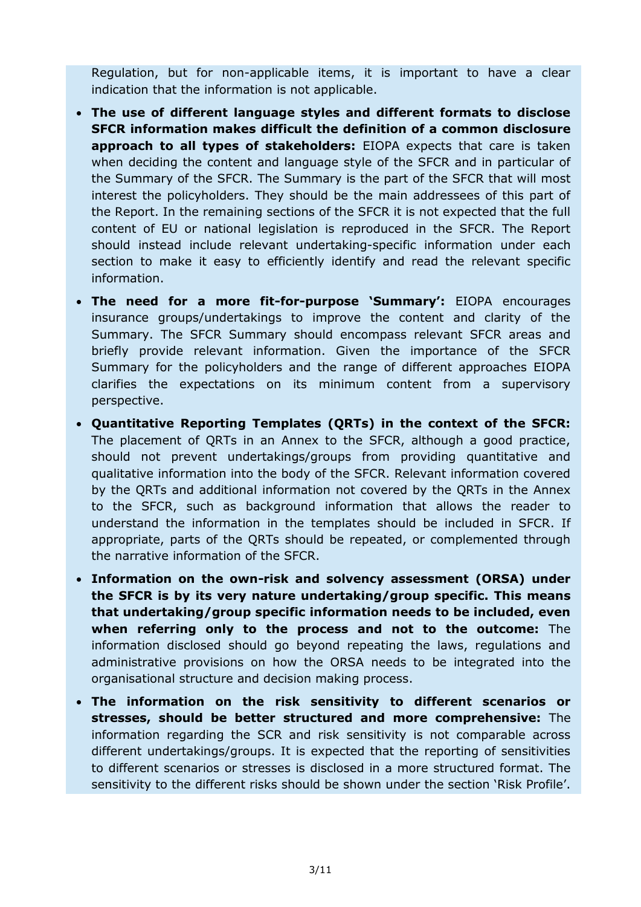Regulation, but for non-applicable items, it is important to have a clear indication that the information is not applicable.

- **The use of different language styles and different formats to disclose SFCR information makes difficult the definition of a common disclosure approach to all types of stakeholders:** EIOPA expects that care is taken when deciding the content and language style of the SFCR and in particular of the Summary of the SFCR. The Summary is the part of the SFCR that will most interest the policyholders. They should be the main addressees of this part of the Report. In the remaining sections of the SFCR it is not expected that the full content of EU or national legislation is reproduced in the SFCR. The Report should instead include relevant undertaking-specific information under each section to make it easy to efficiently identify and read the relevant specific information.
- **The need for a more fit-for-purpose 'Summary':** EIOPA encourages insurance groups/undertakings to improve the content and clarity of the Summary. The SFCR Summary should encompass relevant SFCR areas and briefly provide relevant information. Given the importance of the SFCR Summary for the policyholders and the range of different approaches EIOPA clarifies the expectations on its minimum content from a supervisory perspective.
- **Quantitative Reporting Templates (QRTs) in the context of the SFCR:**  The placement of QRTs in an Annex to the SFCR, although a good practice, should not prevent undertakings/groups from providing quantitative and qualitative information into the body of the SFCR. Relevant information covered by the QRTs and additional information not covered by the QRTs in the Annex to the SFCR, such as background information that allows the reader to understand the information in the templates should be included in SFCR. If appropriate, parts of the QRTs should be repeated, or complemented through the narrative information of the SFCR.
- **Information on the own-risk and solvency assessment (ORSA) under the SFCR is by its very nature undertaking/group specific. This means that undertaking/group specific information needs to be included, even when referring only to the process and not to the outcome:** The information disclosed should go beyond repeating the laws, regulations and administrative provisions on how the ORSA needs to be integrated into the organisational structure and decision making process.
- **The information on the risk sensitivity to different scenarios or stresses, should be better structured and more comprehensive:** The information regarding the SCR and risk sensitivity is not comparable across different undertakings/groups. It is expected that the reporting of sensitivities to different scenarios or stresses is disclosed in a more structured format. The sensitivity to the different risks should be shown under the section 'Risk Profile'.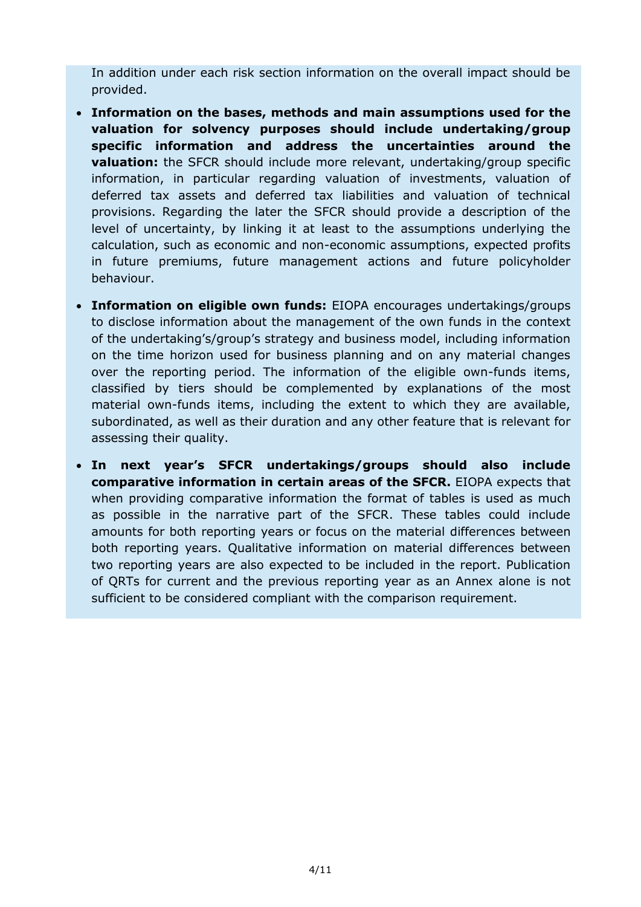In addition under each risk section information on the overall impact should be provided.

- **Information on the bases, methods and main assumptions used for the valuation for solvency purposes should include undertaking/group specific information and address the uncertainties around the valuation:** the SFCR should include more relevant, undertaking/group specific information, in particular regarding valuation of investments, valuation of deferred tax assets and deferred tax liabilities and valuation of technical provisions. Regarding the later the SFCR should provide a description of the level of uncertainty, by linking it at least to the assumptions underlying the calculation, such as economic and non-economic assumptions, expected profits in future premiums, future management actions and future policyholder behaviour.
- **Information on eligible own funds:** EIOPA encourages undertakings/groups to disclose information about the management of the own funds in the context of the undertaking's/group's strategy and business model, including information on the time horizon used for business planning and on any material changes over the reporting period. The information of the eligible own-funds items, classified by tiers should be complemented by explanations of the most material own-funds items, including the extent to which they are available, subordinated, as well as their duration and any other feature that is relevant for assessing their quality.
- **In next year's SFCR undertakings/groups should also include comparative information in certain areas of the SFCR.** EIOPA expects that when providing comparative information the format of tables is used as much as possible in the narrative part of the SFCR. These tables could include amounts for both reporting years or focus on the material differences between both reporting years. Qualitative information on material differences between two reporting years are also expected to be included in the report. Publication of QRTs for current and the previous reporting year as an Annex alone is not sufficient to be considered compliant with the comparison requirement.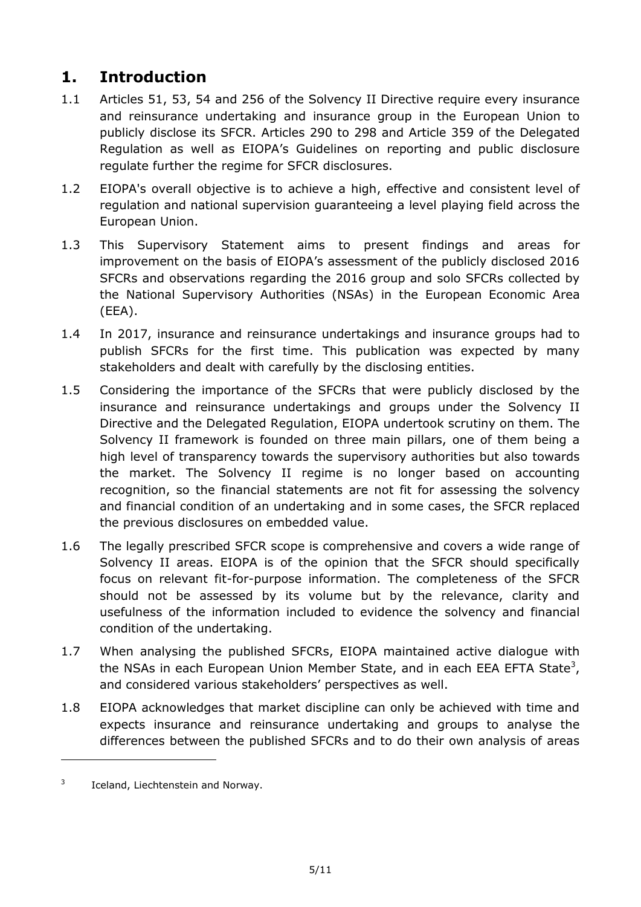## **1. Introduction**

- 1.1 Articles 51, 53, 54 and 256 of the Solvency II Directive require every insurance and reinsurance undertaking and insurance group in the European Union to publicly disclose its SFCR. Articles 290 to 298 and Article 359 of the Delegated Regulation as well as EIOPA's Guidelines on reporting and public disclosure regulate further the regime for SFCR disclosures.
- 1.2 EIOPA's overall objective is to achieve a high, effective and consistent level of regulation and national supervision guaranteeing a level playing field across the European Union.
- 1.3 This Supervisory Statement aims to present findings and areas for improvement on the basis of EIOPA's assessment of the publicly disclosed 2016 SFCRs and observations regarding the 2016 group and solo SFCRs collected by the National Supervisory Authorities (NSAs) in the European Economic Area (EEA).
- 1.4 In 2017, insurance and reinsurance undertakings and insurance groups had to publish SFCRs for the first time. This publication was expected by many stakeholders and dealt with carefully by the disclosing entities.
- 1.5 Considering the importance of the SFCRs that were publicly disclosed by the insurance and reinsurance undertakings and groups under the Solvency II Directive and the Delegated Regulation, EIOPA undertook scrutiny on them. The Solvency II framework is founded on three main pillars, one of them being a high level of transparency towards the supervisory authorities but also towards the market. The Solvency II regime is no longer based on accounting recognition, so the financial statements are not fit for assessing the solvency and financial condition of an undertaking and in some cases, the SFCR replaced the previous disclosures on embedded value.
- 1.6 The legally prescribed SFCR scope is comprehensive and covers a wide range of Solvency II areas. EIOPA is of the opinion that the SFCR should specifically focus on relevant fit-for-purpose information. The completeness of the SFCR should not be assessed by its volume but by the relevance, clarity and usefulness of the information included to evidence the solvency and financial condition of the undertaking.
- 1.7 When analysing the published SFCRs, EIOPA maintained active dialogue with the NSAs in each European Union Member State, and in each EEA EFTA State<sup>3</sup>, and considered various stakeholders' perspectives as well.
- 1.8 EIOPA acknowledges that market discipline can only be achieved with time and expects insurance and reinsurance undertaking and groups to analyse the differences between the published SFCRs and to do their own analysis of areas

-

<sup>3</sup> Iceland, Liechtenstein and Norway.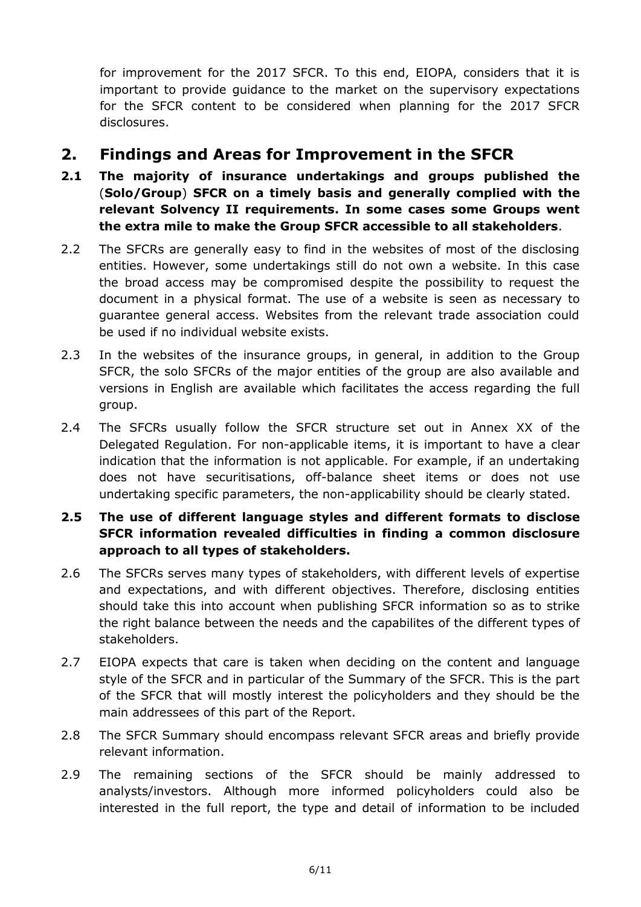for improvement for the 2017 SFCR. To this end, EIOPA, considers that it is important to provide guidance to the market on the supervisory expectations for the SFCR content to be considered when planning for the 2017 SFCR disclosures.

### **2. Findings and Areas for Improvement in the SFCR**

- **2.1 The majority of insurance undertakings and groups published the**  (**Solo/Group**) **SFCR on a timely basis and generally complied with the relevant Solvency II requirements. In some cases some Groups went the extra mile to make the Group SFCR accessible to all stakeholders**.
- 2.2 The SFCRs are generally easy to find in the websites of most of the disclosing entities. However, some undertakings still do not own a website. In this case the broad access may be compromised despite the possibility to request the document in a physical format. The use of a website is seen as necessary to guarantee general access. Websites from the relevant trade association could be used if no individual website exists.
- 2.3 In the websites of the insurance groups, in general, in addition to the Group SFCR, the solo SFCRs of the major entities of the group are also available and versions in English are available which facilitates the access regarding the full group.
- 2.4 The SFCRs usually follow the SFCR structure set out in Annex XX of the Delegated Regulation. For non-applicable items, it is important to have a clear indication that the information is not applicable. For example, if an undertaking does not have securitisations, off-balance sheet items or does not use undertaking specific parameters, the non-applicability should be clearly stated.

#### **2.5 The use of different language styles and different formats to disclose SFCR information revealed difficulties in finding a common disclosure approach to all types of stakeholders.**

- 2.6 The SFCRs serves many types of stakeholders, with different levels of expertise and expectations, and with different objectives. Therefore, disclosing entities should take this into account when publishing SFCR information so as to strike the right balance between the needs and the capabilites of the different types of stakeholders.
- 2.7 EIOPA expects that care is taken when deciding on the content and language style of the SFCR and in particular of the Summary of the SFCR. This is the part of the SFCR that will mostly interest the policyholders and they should be the main addressees of this part of the Report.
- 2.8 The SFCR Summary should encompass relevant SFCR areas and briefly provide relevant information.
- 2.9 The remaining sections of the SFCR should be mainly addressed to analysts/investors. Although more informed policyholders could also be interested in the full report, the type and detail of information to be included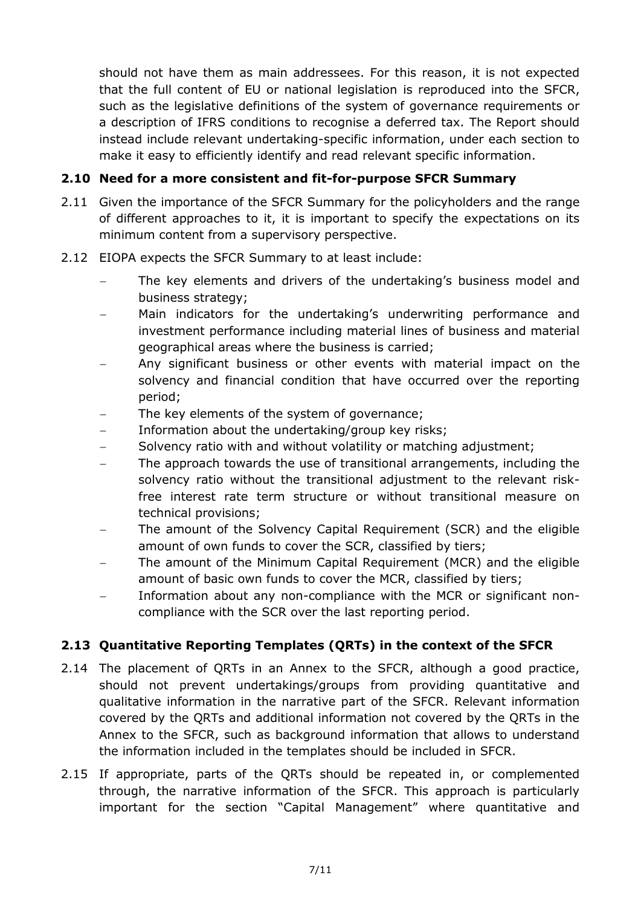should not have them as main addressees. For this reason, it is not expected that the full content of EU or national legislation is reproduced into the SFCR, such as the legislative definitions of the system of governance requirements or a description of IFRS conditions to recognise a deferred tax. The Report should instead include relevant undertaking-specific information, under each section to make it easy to efficiently identify and read relevant specific information.

#### **2.10 Need for a more consistent and fit-for-purpose SFCR Summary**

- 2.11 Given the importance of the SFCR Summary for the policyholders and the range of different approaches to it, it is important to specify the expectations on its minimum content from a supervisory perspective.
- 2.12 EIOPA expects the SFCR Summary to at least include:
	- The key elements and drivers of the undertaking's business model and business strategy;
	- Main indicators for the undertaking's underwriting performance and investment performance including material lines of business and material geographical areas where the business is carried;
	- Any significant business or other events with material impact on the solvency and financial condition that have occurred over the reporting period;
	- The key elements of the system of governance;
	- Information about the undertaking/group key risks;
	- Solvency ratio with and without volatility or matching adjustment;
	- The approach towards the use of transitional arrangements, including the solvency ratio without the transitional adjustment to the relevant riskfree interest rate term structure or without transitional measure on technical provisions;
	- The amount of the Solvency Capital Requirement (SCR) and the eligible amount of own funds to cover the SCR, classified by tiers;
	- The amount of the Minimum Capital Requirement (MCR) and the eligible amount of basic own funds to cover the MCR, classified by tiers;
	- Information about any non-compliance with the MCR or significant noncompliance with the SCR over the last reporting period.

#### **2.13 Quantitative Reporting Templates (QRTs) in the context of the SFCR**

- 2.14 The placement of QRTs in an Annex to the SFCR, although a good practice, should not prevent undertakings/groups from providing quantitative and qualitative information in the narrative part of the SFCR. Relevant information covered by the QRTs and additional information not covered by the QRTs in the Annex to the SFCR, such as background information that allows to understand the information included in the templates should be included in SFCR.
- 2.15 If appropriate, parts of the QRTs should be repeated in, or complemented through, the narrative information of the SFCR. This approach is particularly important for the section "Capital Management" where quantitative and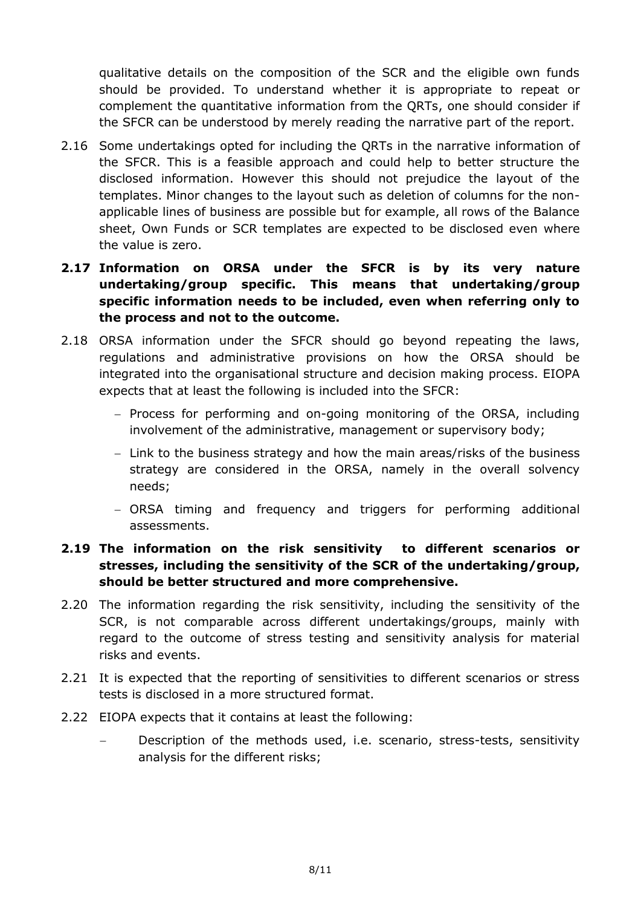qualitative details on the composition of the SCR and the eligible own funds should be provided. To understand whether it is appropriate to repeat or complement the quantitative information from the QRTs, one should consider if the SFCR can be understood by merely reading the narrative part of the report.

- 2.16 Some undertakings opted for including the QRTs in the narrative information of the SFCR. This is a feasible approach and could help to better structure the disclosed information. However this should not prejudice the layout of the templates. Minor changes to the layout such as deletion of columns for the nonapplicable lines of business are possible but for example, all rows of the Balance sheet, Own Funds or SCR templates are expected to be disclosed even where the value is zero.
- **2.17 Information on ORSA under the SFCR is by its very nature undertaking/group specific. This means that undertaking/group specific information needs to be included, even when referring only to the process and not to the outcome.**
- 2.18 ORSA information under the SFCR should go beyond repeating the laws, regulations and administrative provisions on how the ORSA should be integrated into the organisational structure and decision making process. EIOPA expects that at least the following is included into the SFCR:
	- Process for performing and on-going monitoring of the ORSA, including involvement of the administrative, management or supervisory body;
	- Link to the business strategy and how the main areas/risks of the business strategy are considered in the ORSA, namely in the overall solvency needs;
	- ORSA timing and frequency and triggers for performing additional assessments.

#### **2.19 The information on the risk sensitivity to different scenarios or stresses, including the sensitivity of the SCR of the undertaking/group, should be better structured and more comprehensive.**

- 2.20 The information regarding the risk sensitivity, including the sensitivity of the SCR, is not comparable across different undertakings/groups, mainly with regard to the outcome of stress testing and sensitivity analysis for material risks and events.
- 2.21 It is expected that the reporting of sensitivities to different scenarios or stress tests is disclosed in a more structured format.
- 2.22 EIOPA expects that it contains at least the following:
	- Description of the methods used, i.e. scenario, stress-tests, sensitivity analysis for the different risks;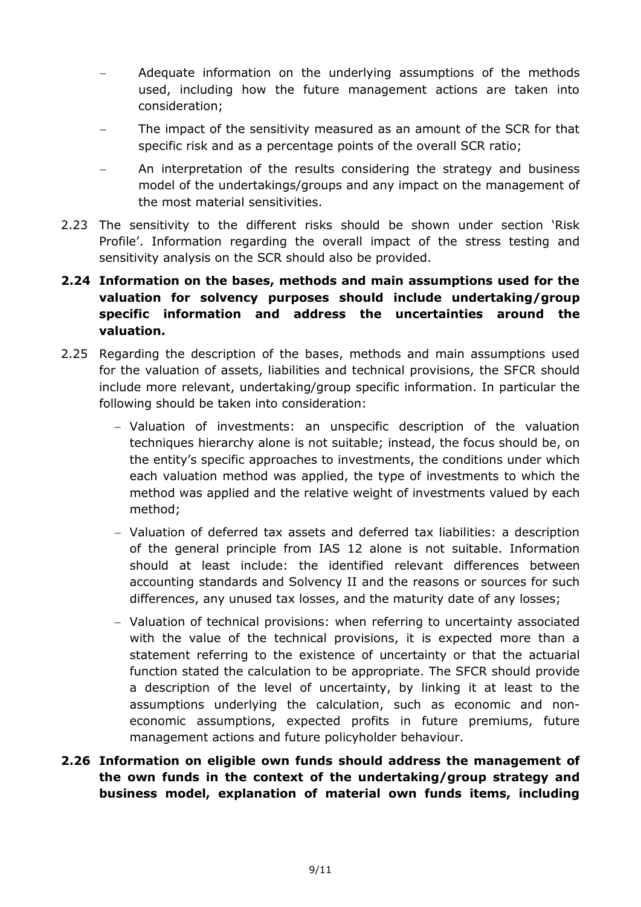- Adequate information on the underlying assumptions of the methods used, including how the future management actions are taken into consideration;
- The impact of the sensitivity measured as an amount of the SCR for that specific risk and as a percentage points of the overall SCR ratio;
- An interpretation of the results considering the strategy and business model of the undertakings/groups and any impact on the management of the most material sensitivities.
- 2.23 The sensitivity to the different risks should be shown under section 'Risk Profile'. Information regarding the overall impact of the stress testing and sensitivity analysis on the SCR should also be provided.

#### **2.24 Information on the bases, methods and main assumptions used for the valuation for solvency purposes should include undertaking/group specific information and address the uncertainties around the valuation.**

- 2.25 Regarding the description of the bases, methods and main assumptions used for the valuation of assets, liabilities and technical provisions, the SFCR should include more relevant, undertaking/group specific information. In particular the following should be taken into consideration:
	- Valuation of investments: an unspecific description of the valuation techniques hierarchy alone is not suitable; instead, the focus should be, on the entity's specific approaches to investments, the conditions under which each valuation method was applied, the type of investments to which the method was applied and the relative weight of investments valued by each method;
	- Valuation of deferred tax assets and deferred tax liabilities: a description of the general principle from IAS 12 alone is not suitable. Information should at least include: the identified relevant differences between accounting standards and Solvency II and the reasons or sources for such differences, any unused tax losses, and the maturity date of any losses;
	- Valuation of technical provisions: when referring to uncertainty associated with the value of the technical provisions, it is expected more than a statement referring to the existence of uncertainty or that the actuarial function stated the calculation to be appropriate. The SFCR should provide a description of the level of uncertainty, by linking it at least to the assumptions underlying the calculation, such as economic and noneconomic assumptions, expected profits in future premiums, future management actions and future policyholder behaviour.
- **2.26 Information on eligible own funds should address the management of the own funds in the context of the undertaking/group strategy and business model, explanation of material own funds items, including**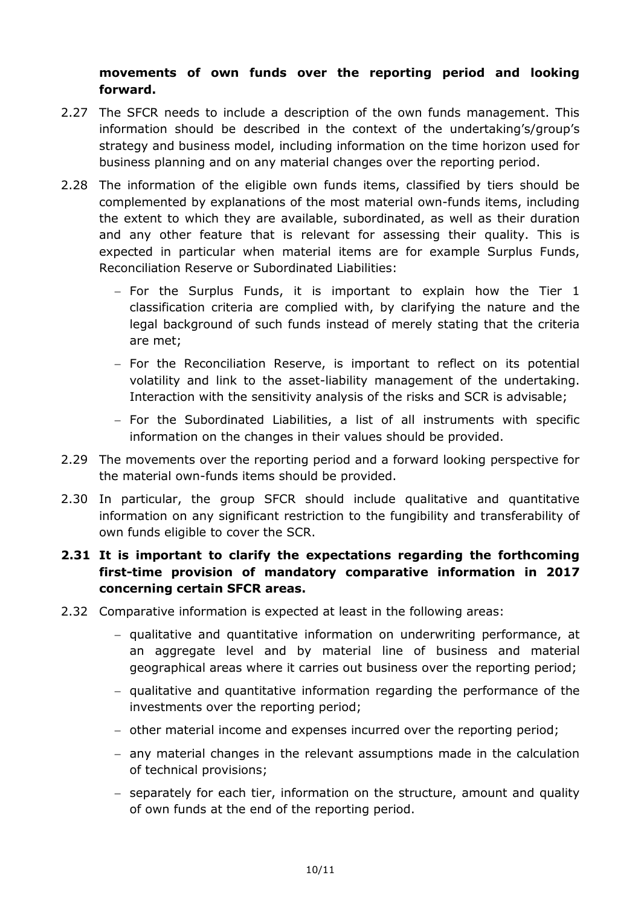#### **movements of own funds over the reporting period and looking forward.**

- 2.27 The SFCR needs to include a description of the own funds management. This information should be described in the context of the undertaking's/group's strategy and business model, including information on the time horizon used for business planning and on any material changes over the reporting period.
- 2.28 The information of the eligible own funds items, classified by tiers should be complemented by explanations of the most material own-funds items, including the extent to which they are available, subordinated, as well as their duration and any other feature that is relevant for assessing their quality. This is expected in particular when material items are for example Surplus Funds, Reconciliation Reserve or Subordinated Liabilities:
	- $-$  For the Surplus Funds, it is important to explain how the Tier 1 classification criteria are complied with, by clarifying the nature and the legal background of such funds instead of merely stating that the criteria are met;
	- $-$  For the Reconciliation Reserve, is important to reflect on its potential volatility and link to the asset-liability management of the undertaking. Interaction with the sensitivity analysis of the risks and SCR is advisable;
	- For the Subordinated Liabilities, a list of all instruments with specific information on the changes in their values should be provided.
- 2.29 The movements over the reporting period and a forward looking perspective for the material own-funds items should be provided.
- 2.30 In particular, the group SFCR should include qualitative and quantitative information on any significant restriction to the fungibility and transferability of own funds eligible to cover the SCR.

#### **2.31 It is important to clarify the expectations regarding the forthcoming first-time provision of mandatory comparative information in 2017 concerning certain SFCR areas.**

- 2.32 Comparative information is expected at least in the following areas:
	- $-$  qualitative and quantitative information on underwriting performance, at an aggregate level and by material line of business and material geographical areas where it carries out business over the reporting period;
	- qualitative and quantitative information regarding the performance of the investments over the reporting period;
	- other material income and expenses incurred over the reporting period;
	- any material changes in the relevant assumptions made in the calculation of technical provisions;
	- separately for each tier, information on the structure, amount and quality of own funds at the end of the reporting period.